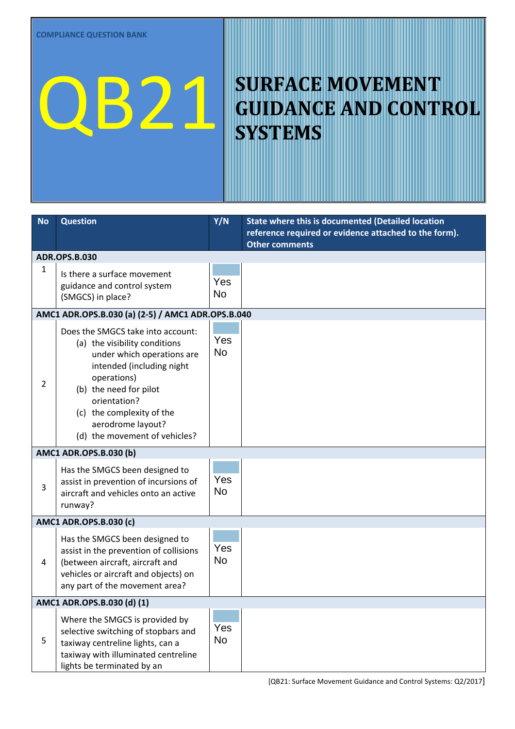## **QB21 SURFACE MOVEMENT**<br>SVSTEMS **GUIDANCE AND CONTROL SYSTEMS**

| <b>No</b>                                         | <b>Question</b>                                                                                                                                                                                                                                                                                     | Y/N              | State where this is documented (Detailed location<br>reference required or evidence attached to the form).<br><b>Other comments</b> |  |
|---------------------------------------------------|-----------------------------------------------------------------------------------------------------------------------------------------------------------------------------------------------------------------------------------------------------------------------------------------------------|------------------|-------------------------------------------------------------------------------------------------------------------------------------|--|
| <b>ADR.OPS.B.030</b>                              |                                                                                                                                                                                                                                                                                                     |                  |                                                                                                                                     |  |
| 1                                                 | Is there a surface movement<br>guidance and control system<br>(SMGCS) in place?                                                                                                                                                                                                                     | Yes<br><b>No</b> |                                                                                                                                     |  |
| AMC1 ADR.OPS.B.030 (a) (2-5) / AMC1 ADR.OPS.B.040 |                                                                                                                                                                                                                                                                                                     |                  |                                                                                                                                     |  |
| $\overline{2}$                                    | Does the SMGCS take into account:<br>(a) the visibility conditions<br>under which operations are<br>intended (including night<br>operations)<br>(b) the need for pilot<br>orientation?<br>(c) the complexity of the<br>aerodrome layout?<br>(d) the movement of vehicles?<br>AMC1 ADR.OPS.B.030 (b) | Yes<br><b>No</b> |                                                                                                                                     |  |
| 3                                                 | Has the SMGCS been designed to<br>assist in prevention of incursions of<br>aircraft and vehicles onto an active<br>runway?                                                                                                                                                                          | Yes<br><b>No</b> |                                                                                                                                     |  |
| AMC1 ADR.OPS.B.030 (c)                            |                                                                                                                                                                                                                                                                                                     |                  |                                                                                                                                     |  |
| 4                                                 | Has the SMGCS been designed to<br>assist in the prevention of collisions<br>(between aircraft, aircraft and<br>vehicles or aircraft and objects) on<br>any part of the movement area?                                                                                                               | Yes<br><b>No</b> |                                                                                                                                     |  |
| AMC1 ADR.OPS.B.030 (d) (1)                        |                                                                                                                                                                                                                                                                                                     |                  |                                                                                                                                     |  |
| 5                                                 | Where the SMGCS is provided by<br>selective switching of stopbars and<br>taxiway centreline lights, can a<br>taxiway with illuminated centreline<br>lights be terminated by an                                                                                                                      | Yes<br><b>No</b> |                                                                                                                                     |  |